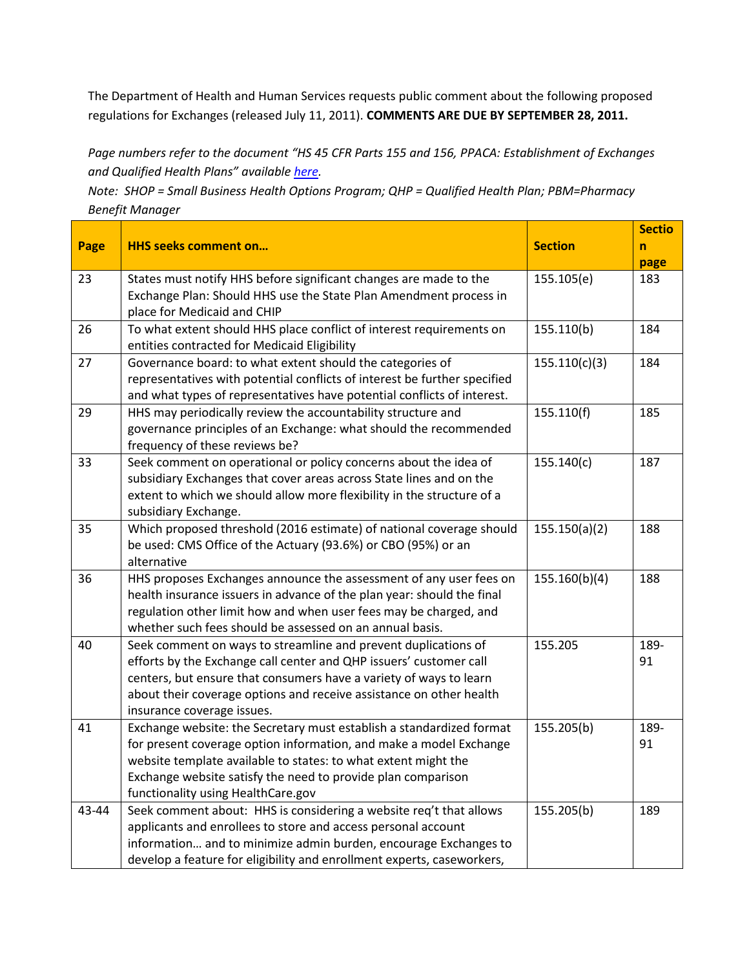The Department of Health and Human Services requests public comment about the following proposed regulations for Exchanges (released July 11, 2011). **COMMENTS ARE DUE BY SEPTEMBER 28, 2011.**

*Page numbers refer to the document "HS 45 CFR Parts 155 and 156, PPACA: Establishment of Exchanges and Qualified Health Plans" available [here.](http://thehill.com/blogs/healthwatch/health-reform-implementation/172555-public-input-sought-on-health-reform-law)*

*Note: SHOP = Small Business Health Options Program; QHP = Qualified Health Plan; PBM=Pharmacy Benefit Manager*

|       |                                                                                                                                             |                | <b>Sectio</b> |
|-------|---------------------------------------------------------------------------------------------------------------------------------------------|----------------|---------------|
| Page  | <b>HHS seeks comment on</b>                                                                                                                 | <b>Section</b> | n             |
|       |                                                                                                                                             |                | page          |
| 23    | States must notify HHS before significant changes are made to the                                                                           | 155.105(e)     | 183           |
|       | Exchange Plan: Should HHS use the State Plan Amendment process in                                                                           |                |               |
|       | place for Medicaid and CHIP                                                                                                                 |                |               |
| 26    | To what extent should HHS place conflict of interest requirements on                                                                        | 155.110(b)     | 184           |
|       | entities contracted for Medicaid Eligibility                                                                                                |                |               |
| 27    | Governance board: to what extent should the categories of                                                                                   | 155.110(c)(3)  | 184           |
|       | representatives with potential conflicts of interest be further specified                                                                   |                |               |
|       | and what types of representatives have potential conflicts of interest.                                                                     |                |               |
| 29    | HHS may periodically review the accountability structure and                                                                                | 155.110(f)     | 185           |
|       | governance principles of an Exchange: what should the recommended                                                                           |                |               |
|       | frequency of these reviews be?                                                                                                              |                |               |
| 33    | Seek comment on operational or policy concerns about the idea of                                                                            | 155.140(c)     | 187           |
|       | subsidiary Exchanges that cover areas across State lines and on the                                                                         |                |               |
|       | extent to which we should allow more flexibility in the structure of a                                                                      |                |               |
|       | subsidiary Exchange.                                                                                                                        |                |               |
| 35    | Which proposed threshold (2016 estimate) of national coverage should                                                                        | 155.150(a)(2)  | 188           |
|       | be used: CMS Office of the Actuary (93.6%) or CBO (95%) or an<br>alternative                                                                |                |               |
|       |                                                                                                                                             |                |               |
| 36    | HHS proposes Exchanges announce the assessment of any user fees on                                                                          | 155.160(b)(4)  | 188           |
|       | health insurance issuers in advance of the plan year: should the final<br>regulation other limit how and when user fees may be charged, and |                |               |
|       | whether such fees should be assessed on an annual basis.                                                                                    |                |               |
| 40    | Seek comment on ways to streamline and prevent duplications of                                                                              | 155.205        | 189-          |
|       | efforts by the Exchange call center and QHP issuers' customer call                                                                          |                | 91            |
|       | centers, but ensure that consumers have a variety of ways to learn                                                                          |                |               |
|       | about their coverage options and receive assistance on other health                                                                         |                |               |
|       | insurance coverage issues.                                                                                                                  |                |               |
| 41    | Exchange website: the Secretary must establish a standardized format                                                                        | 155.205(b)     | 189-          |
|       | for present coverage option information, and make a model Exchange                                                                          |                | 91            |
|       | website template available to states: to what extent might the                                                                              |                |               |
|       | Exchange website satisfy the need to provide plan comparison                                                                                |                |               |
|       | functionality using HealthCare.gov                                                                                                          |                |               |
| 43-44 | Seek comment about: HHS is considering a website req't that allows                                                                          | 155.205(b)     | 189           |
|       | applicants and enrollees to store and access personal account                                                                               |                |               |
|       | information and to minimize admin burden, encourage Exchanges to                                                                            |                |               |
|       | develop a feature for eligibility and enrollment experts, caseworkers,                                                                      |                |               |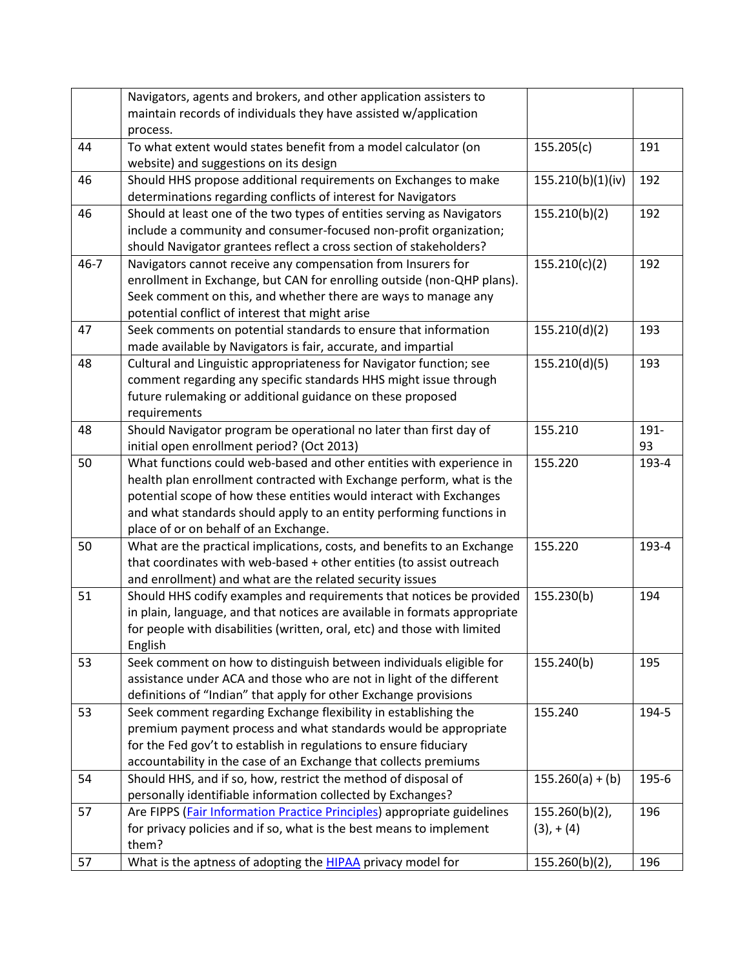|          | Navigators, agents and brokers, and other application assisters to                                                                    |                    |             |
|----------|---------------------------------------------------------------------------------------------------------------------------------------|--------------------|-------------|
|          | maintain records of individuals they have assisted w/application                                                                      |                    |             |
|          | process.                                                                                                                              |                    |             |
| 44       | To what extent would states benefit from a model calculator (on<br>website) and suggestions on its design                             | 155.205(c)         | 191         |
| 46       | Should HHS propose additional requirements on Exchanges to make                                                                       | 155.210(b)(1)(iv)  | 192         |
|          | determinations regarding conflicts of interest for Navigators                                                                         |                    |             |
| 46       | Should at least one of the two types of entities serving as Navigators                                                                | 155.210(b)(2)      | 192         |
|          | include a community and consumer-focused non-profit organization;                                                                     |                    |             |
|          | should Navigator grantees reflect a cross section of stakeholders?                                                                    |                    |             |
| $46 - 7$ | Navigators cannot receive any compensation from Insurers for                                                                          | 155.210(c)(2)      | 192         |
|          | enrollment in Exchange, but CAN for enrolling outside (non-QHP plans).                                                                |                    |             |
|          | Seek comment on this, and whether there are ways to manage any                                                                        |                    |             |
|          | potential conflict of interest that might arise                                                                                       |                    |             |
| 47       | Seek comments on potential standards to ensure that information                                                                       | 155.210(d)(2)      | 193         |
|          | made available by Navigators is fair, accurate, and impartial                                                                         |                    |             |
| 48       | Cultural and Linguistic appropriateness for Navigator function; see                                                                   | 155.210(d)(5)      | 193         |
|          | comment regarding any specific standards HHS might issue through                                                                      |                    |             |
|          | future rulemaking or additional guidance on these proposed                                                                            |                    |             |
|          | requirements                                                                                                                          |                    |             |
| 48       | Should Navigator program be operational no later than first day of                                                                    | 155.210            | 191-        |
| 50       | initial open enrollment period? (Oct 2013)<br>What functions could web-based and other entities with experience in                    | 155.220            | 93<br>193-4 |
|          | health plan enrollment contracted with Exchange perform, what is the                                                                  |                    |             |
|          | potential scope of how these entities would interact with Exchanges                                                                   |                    |             |
|          | and what standards should apply to an entity performing functions in                                                                  |                    |             |
|          | place of or on behalf of an Exchange.                                                                                                 |                    |             |
| 50       | What are the practical implications, costs, and benefits to an Exchange                                                               | 155.220            | 193-4       |
|          | that coordinates with web-based + other entities (to assist outreach                                                                  |                    |             |
|          | and enrollment) and what are the related security issues                                                                              |                    |             |
| 51       | Should HHS codify examples and requirements that notices be provided                                                                  | 155.230(b)         | 194         |
|          | in plain, language, and that notices are available in formats appropriate                                                             |                    |             |
|          | for people with disabilities (written, oral, etc) and those with limited                                                              |                    |             |
|          | English                                                                                                                               |                    |             |
| 53       | Seek comment on how to distinguish between individuals eligible for                                                                   | 155.240(b)         | 195         |
|          | assistance under ACA and those who are not in light of the different                                                                  |                    |             |
|          | definitions of "Indian" that apply for other Exchange provisions                                                                      |                    |             |
| 53       | Seek comment regarding Exchange flexibility in establishing the                                                                       | 155.240            | 194-5       |
|          | premium payment process and what standards would be appropriate                                                                       |                    |             |
|          | for the Fed gov't to establish in regulations to ensure fiduciary<br>accountability in the case of an Exchange that collects premiums |                    |             |
| 54       | Should HHS, and if so, how, restrict the method of disposal of                                                                        | $155.260(a) + (b)$ | 195-6       |
|          | personally identifiable information collected by Exchanges?                                                                           |                    |             |
| 57       | Are FIPPS (Fair Information Practice Principles) appropriate guidelines                                                               | $155.260(b)(2)$ ,  | 196         |
|          | for privacy policies and if so, what is the best means to implement                                                                   | $(3)$ , + $(4)$    |             |
|          | them?                                                                                                                                 |                    |             |
| 57       | What is the aptness of adopting the <b>HIPAA</b> privacy model for                                                                    | 155.260(b)(2),     | 196         |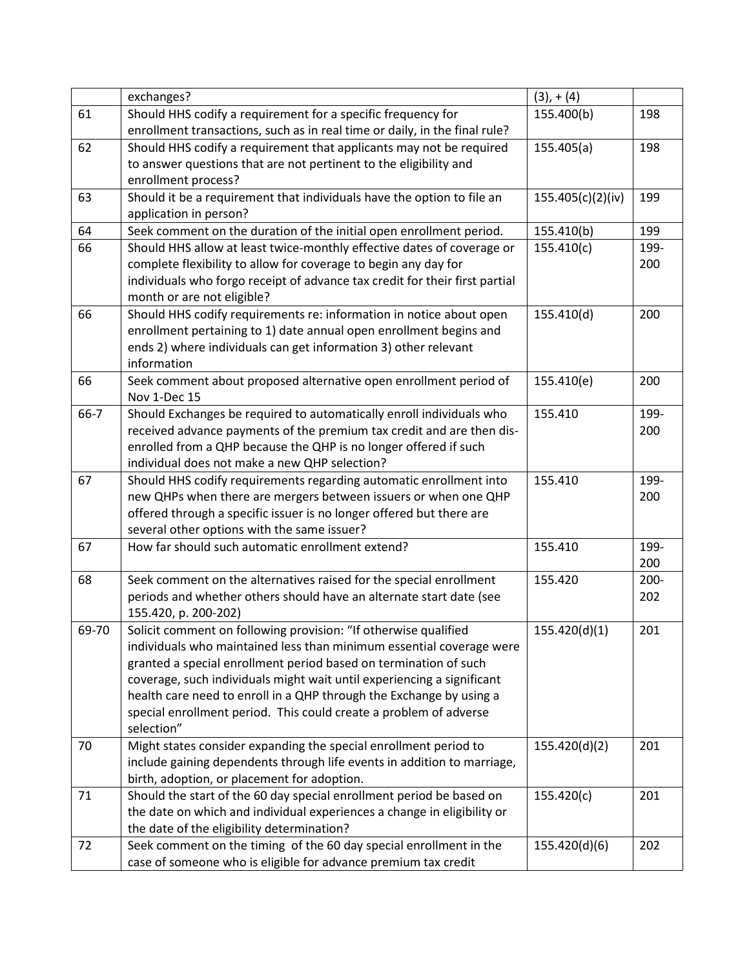|       | exchanges?                                                                  | $(3), + (4)$      |         |
|-------|-----------------------------------------------------------------------------|-------------------|---------|
| 61    | Should HHS codify a requirement for a specific frequency for                | 155.400(b)        | 198     |
|       | enrollment transactions, such as in real time or daily, in the final rule?  |                   |         |
| 62    | Should HHS codify a requirement that applicants may not be required         | 155.405(a)        | 198     |
|       | to answer questions that are not pertinent to the eligibility and           |                   |         |
|       | enrollment process?                                                         |                   |         |
| 63    | Should it be a requirement that individuals have the option to file an      | 155.405(c)(2)(iv) | 199     |
|       | application in person?                                                      |                   |         |
| 64    | Seek comment on the duration of the initial open enrollment period.         | 155.410(b)        | 199     |
| 66    | Should HHS allow at least twice-monthly effective dates of coverage or      | 155.410(c)        | 199-    |
|       | complete flexibility to allow for coverage to begin any day for             |                   | 200     |
|       | individuals who forgo receipt of advance tax credit for their first partial |                   |         |
|       | month or are not eligible?                                                  |                   |         |
| 66    | Should HHS codify requirements re: information in notice about open         | 155.410(d)        | 200     |
|       | enrollment pertaining to 1) date annual open enrollment begins and          |                   |         |
|       | ends 2) where individuals can get information 3) other relevant             |                   |         |
|       | information                                                                 |                   |         |
| 66    | Seek comment about proposed alternative open enrollment period of           | 155.410(e)        | 200     |
|       | Nov 1-Dec 15                                                                |                   |         |
| 66-7  | Should Exchanges be required to automatically enroll individuals who        | 155.410           | 199-    |
|       | received advance payments of the premium tax credit and are then dis-       |                   | 200     |
|       | enrolled from a QHP because the QHP is no longer offered if such            |                   |         |
|       | individual does not make a new QHP selection?                               |                   |         |
| 67    | Should HHS codify requirements regarding automatic enrollment into          | 155.410           | 199-    |
|       | new QHPs when there are mergers between issuers or when one QHP             |                   | 200     |
|       | offered through a specific issuer is no longer offered but there are        |                   |         |
|       | several other options with the same issuer?                                 |                   |         |
| 67    | How far should such automatic enrollment extend?                            | 155.410           | 199-    |
|       |                                                                             |                   | 200     |
| 68    | Seek comment on the alternatives raised for the special enrollment          | 155.420           | $200 -$ |
|       | periods and whether others should have an alternate start date (see         |                   | 202     |
|       | 155.420, p. 200-202)                                                        |                   |         |
| 69-70 | Solicit comment on following provision: "If otherwise qualified             | 155.420(d)(1)     | 201     |
|       | individuals who maintained less than minimum essential coverage were        |                   |         |
|       | granted a special enrollment period based on termination of such            |                   |         |
|       | coverage, such individuals might wait until experiencing a significant      |                   |         |
|       | health care need to enroll in a QHP through the Exchange by using a         |                   |         |
|       | special enrollment period. This could create a problem of adverse           |                   |         |
|       | selection"                                                                  |                   |         |
| 70    | Might states consider expanding the special enrollment period to            | 155.420(d)(2)     | 201     |
|       | include gaining dependents through life events in addition to marriage,     |                   |         |
|       | birth, adoption, or placement for adoption.                                 |                   |         |
| 71    | Should the start of the 60 day special enrollment period be based on        | 155.420(c)        | 201     |
|       | the date on which and individual experiences a change in eligibility or     |                   |         |
|       | the date of the eligibility determination?                                  |                   |         |
| 72    | Seek comment on the timing of the 60 day special enrollment in the          | 155.420(d)(6)     | 202     |
|       | case of someone who is eligible for advance premium tax credit              |                   |         |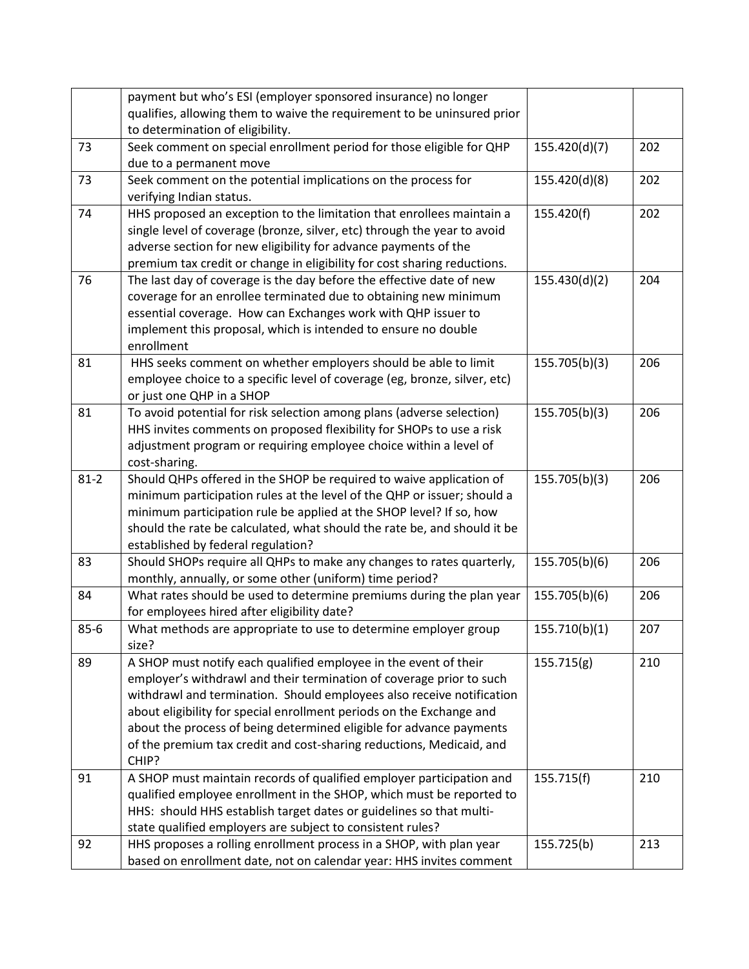|          | payment but who's ESI (employer sponsored insurance) no longer            |               |     |
|----------|---------------------------------------------------------------------------|---------------|-----|
|          | qualifies, allowing them to waive the requirement to be uninsured prior   |               |     |
|          | to determination of eligibility.                                          |               |     |
| 73       | Seek comment on special enrollment period for those eligible for QHP      | 155.420(d)(7) | 202 |
|          | due to a permanent move                                                   |               |     |
| 73       | Seek comment on the potential implications on the process for             | 155.420(d)(8) | 202 |
|          | verifying Indian status.                                                  |               |     |
| 74       | HHS proposed an exception to the limitation that enrollees maintain a     | 155.420(f)    | 202 |
|          | single level of coverage (bronze, silver, etc) through the year to avoid  |               |     |
|          | adverse section for new eligibility for advance payments of the           |               |     |
|          | premium tax credit or change in eligibility for cost sharing reductions.  |               |     |
| 76       | The last day of coverage is the day before the effective date of new      | 155.430(d)(2) | 204 |
|          | coverage for an enrollee terminated due to obtaining new minimum          |               |     |
|          | essential coverage. How can Exchanges work with QHP issuer to             |               |     |
|          | implement this proposal, which is intended to ensure no double            |               |     |
|          | enrollment                                                                |               |     |
| 81       | HHS seeks comment on whether employers should be able to limit            | 155.705(b)(3) | 206 |
|          | employee choice to a specific level of coverage (eg, bronze, silver, etc) |               |     |
|          | or just one QHP in a SHOP                                                 |               |     |
| 81       | To avoid potential for risk selection among plans (adverse selection)     | 155.705(b)(3) | 206 |
|          | HHS invites comments on proposed flexibility for SHOPs to use a risk      |               |     |
|          | adjustment program or requiring employee choice within a level of         |               |     |
|          | cost-sharing.                                                             |               |     |
| $81 - 2$ | Should QHPs offered in the SHOP be required to waive application of       | 155.705(b)(3) | 206 |
|          | minimum participation rules at the level of the QHP or issuer; should a   |               |     |
|          | minimum participation rule be applied at the SHOP level? If so, how       |               |     |
|          | should the rate be calculated, what should the rate be, and should it be  |               |     |
|          | established by federal regulation?                                        |               |     |
| 83       | Should SHOPs require all QHPs to make any changes to rates quarterly,     | 155.705(b)(6) | 206 |
|          | monthly, annually, or some other (uniform) time period?                   |               |     |
| 84       | What rates should be used to determine premiums during the plan year      | 155.705(b)(6) | 206 |
|          | for employees hired after eligibility date?                               |               |     |
| $85 - 6$ | What methods are appropriate to use to determine employer group           | 155.710(b)(1) | 207 |
|          | size?                                                                     |               |     |
| 89       | A SHOP must notify each qualified employee in the event of their          | 155.715(g)    | 210 |
|          | employer's withdrawl and their termination of coverage prior to such      |               |     |
|          | withdrawl and termination. Should employees also receive notification     |               |     |
|          | about eligibility for special enrollment periods on the Exchange and      |               |     |
|          | about the process of being determined eligible for advance payments       |               |     |
|          | of the premium tax credit and cost-sharing reductions, Medicaid, and      |               |     |
|          | CHIP?                                                                     |               |     |
| 91       | A SHOP must maintain records of qualified employer participation and      | 155.715(f)    | 210 |
|          | qualified employee enrollment in the SHOP, which must be reported to      |               |     |
|          | HHS: should HHS establish target dates or guidelines so that multi-       |               |     |
|          | state qualified employers are subject to consistent rules?                |               |     |
| 92       | HHS proposes a rolling enrollment process in a SHOP, with plan year       | 155.725(b)    | 213 |
|          | based on enrollment date, not on calendar year: HHS invites comment       |               |     |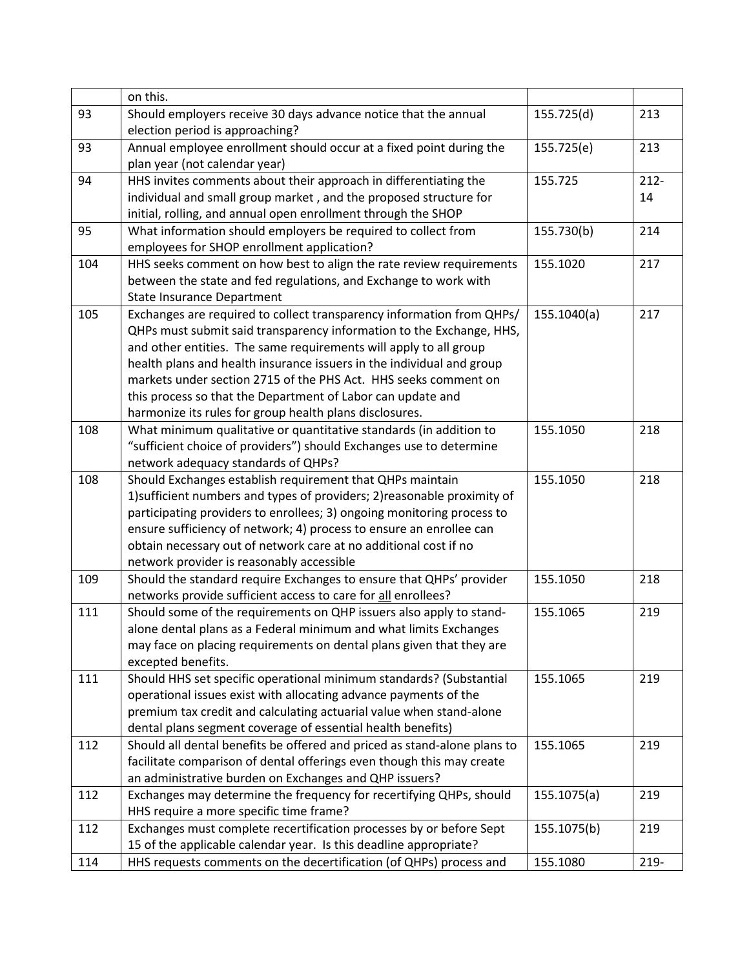|     | on this.                                                                 |             |         |
|-----|--------------------------------------------------------------------------|-------------|---------|
| 93  | Should employers receive 30 days advance notice that the annual          | 155.725(d)  | 213     |
|     | election period is approaching?                                          |             |         |
| 93  | Annual employee enrollment should occur at a fixed point during the      | 155.725(e)  | 213     |
|     | plan year (not calendar year)                                            |             |         |
| 94  | HHS invites comments about their approach in differentiating the         | 155.725     | $212 -$ |
|     | individual and small group market, and the proposed structure for        |             | 14      |
|     | initial, rolling, and annual open enrollment through the SHOP            |             |         |
| 95  | What information should employers be required to collect from            | 155.730(b)  | 214     |
|     | employees for SHOP enrollment application?                               |             |         |
| 104 | HHS seeks comment on how best to align the rate review requirements      | 155.1020    | 217     |
|     | between the state and fed regulations, and Exchange to work with         |             |         |
|     | <b>State Insurance Department</b>                                        |             |         |
| 105 | Exchanges are required to collect transparency information from QHPs/    | 155.1040(a) | 217     |
|     | QHPs must submit said transparency information to the Exchange, HHS,     |             |         |
|     | and other entities. The same requirements will apply to all group        |             |         |
|     | health plans and health insurance issuers in the individual and group    |             |         |
|     | markets under section 2715 of the PHS Act. HHS seeks comment on          |             |         |
|     | this process so that the Department of Labor can update and              |             |         |
|     | harmonize its rules for group health plans disclosures.                  |             |         |
| 108 | What minimum qualitative or quantitative standards (in addition to       | 155.1050    | 218     |
|     | "sufficient choice of providers") should Exchanges use to determine      |             |         |
|     | network adequacy standards of QHPs?                                      |             |         |
| 108 | Should Exchanges establish requirement that QHPs maintain                | 155.1050    | 218     |
|     | 1) sufficient numbers and types of providers; 2) reasonable proximity of |             |         |
|     | participating providers to enrollees; 3) ongoing monitoring process to   |             |         |
|     | ensure sufficiency of network; 4) process to ensure an enrollee can      |             |         |
|     | obtain necessary out of network care at no additional cost if no         |             |         |
|     | network provider is reasonably accessible                                |             |         |
| 109 | Should the standard require Exchanges to ensure that QHPs' provider      | 155.1050    | 218     |
|     | networks provide sufficient access to care for all enrollees?            |             |         |
| 111 | Should some of the requirements on QHP issuers also apply to stand-      | 155.1065    | 219     |
|     | alone dental plans as a Federal minimum and what limits Exchanges        |             |         |
|     | may face on placing requirements on dental plans given that they are     |             |         |
|     | excepted benefits.                                                       |             |         |
| 111 | Should HHS set specific operational minimum standards? (Substantial      | 155.1065    | 219     |
|     | operational issues exist with allocating advance payments of the         |             |         |
|     | premium tax credit and calculating actuarial value when stand-alone      |             |         |
|     | dental plans segment coverage of essential health benefits)              |             |         |
| 112 | Should all dental benefits be offered and priced as stand-alone plans to | 155.1065    | 219     |
|     | facilitate comparison of dental offerings even though this may create    |             |         |
|     | an administrative burden on Exchanges and QHP issuers?                   |             |         |
| 112 | Exchanges may determine the frequency for recertifying QHPs, should      | 155.1075(a) | 219     |
|     | HHS require a more specific time frame?                                  |             |         |
| 112 | Exchanges must complete recertification processes by or before Sept      | 155.1075(b) | 219     |
|     | 15 of the applicable calendar year. Is this deadline appropriate?        |             |         |
| 114 | HHS requests comments on the decertification (of QHPs) process and       | 155.1080    | 219-    |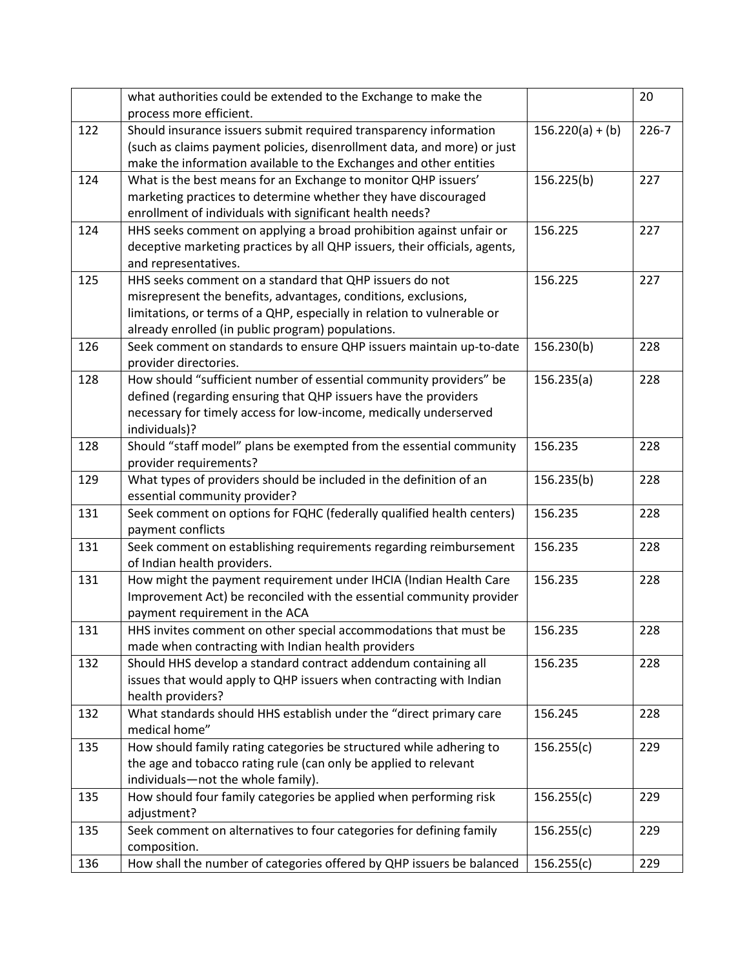|     | what authorities could be extended to the Exchange to make the             |                    | 20        |
|-----|----------------------------------------------------------------------------|--------------------|-----------|
|     | process more efficient.                                                    |                    |           |
| 122 | Should insurance issuers submit required transparency information          | $156.220(a) + (b)$ | $226 - 7$ |
|     | (such as claims payment policies, disenrollment data, and more) or just    |                    |           |
|     | make the information available to the Exchanges and other entities         |                    |           |
| 124 | What is the best means for an Exchange to monitor QHP issuers'             | 156.225(b)         | 227       |
|     | marketing practices to determine whether they have discouraged             |                    |           |
|     | enrollment of individuals with significant health needs?                   |                    |           |
| 124 | HHS seeks comment on applying a broad prohibition against unfair or        | 156.225            | 227       |
|     | deceptive marketing practices by all QHP issuers, their officials, agents, |                    |           |
|     | and representatives.                                                       |                    |           |
| 125 | HHS seeks comment on a standard that QHP issuers do not                    | 156.225            | 227       |
|     | misrepresent the benefits, advantages, conditions, exclusions,             |                    |           |
|     | limitations, or terms of a QHP, especially in relation to vulnerable or    |                    |           |
|     | already enrolled (in public program) populations.                          |                    |           |
| 126 | Seek comment on standards to ensure QHP issuers maintain up-to-date        | 156.230(b)         | 228       |
|     | provider directories.                                                      |                    |           |
| 128 | How should "sufficient number of essential community providers" be         | 156.235(a)         | 228       |
|     | defined (regarding ensuring that QHP issuers have the providers            |                    |           |
|     | necessary for timely access for low-income, medically underserved          |                    |           |
|     | individuals)?                                                              |                    |           |
| 128 | Should "staff model" plans be exempted from the essential community        | 156.235            | 228       |
|     | provider requirements?                                                     |                    |           |
| 129 | What types of providers should be included in the definition of an         | 156.235(b)         | 228       |
|     | essential community provider?                                              |                    |           |
| 131 | Seek comment on options for FQHC (federally qualified health centers)      | 156.235            | 228       |
|     | payment conflicts                                                          |                    |           |
| 131 | Seek comment on establishing requirements regarding reimbursement          | 156.235            | 228       |
|     | of Indian health providers.                                                |                    |           |
| 131 | How might the payment requirement under IHCIA (Indian Health Care          | 156.235            | 228       |
|     | Improvement Act) be reconciled with the essential community provider       |                    |           |
|     | payment requirement in the ACA                                             |                    |           |
| 131 | HHS invites comment on other special accommodations that must be           | 156.235            | 228       |
|     | made when contracting with Indian health providers                         |                    |           |
| 132 | Should HHS develop a standard contract addendum containing all             | 156.235            | 228       |
|     | issues that would apply to QHP issuers when contracting with Indian        |                    |           |
|     | health providers?                                                          |                    |           |
| 132 | What standards should HHS establish under the "direct primary care         | 156.245            | 228       |
|     | medical home"                                                              |                    |           |
| 135 | How should family rating categories be structured while adhering to        | 156.255(c)         | 229       |
|     | the age and tobacco rating rule (can only be applied to relevant           |                    |           |
|     | individuals-not the whole family).                                         |                    |           |
| 135 | How should four family categories be applied when performing risk          | 156.255(c)         | 229       |
|     | adjustment?                                                                |                    |           |
| 135 | Seek comment on alternatives to four categories for defining family        | 156.255(c)         | 229       |
|     | composition.                                                               |                    |           |
| 136 | How shall the number of categories offered by QHP issuers be balanced      | 156.255(c)         | 229       |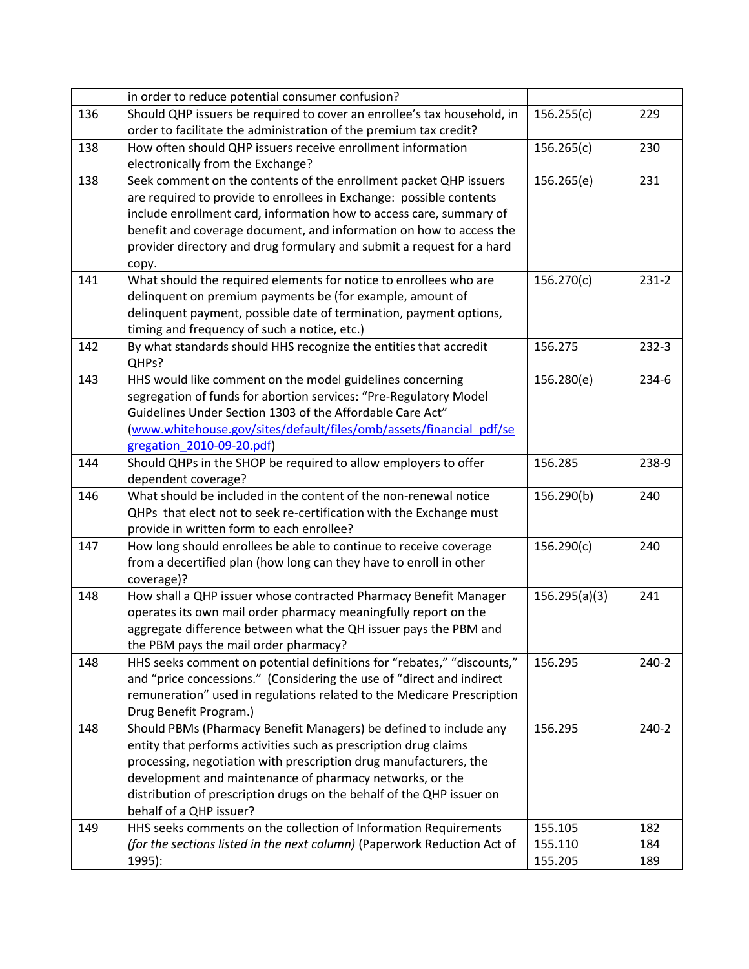|     | in order to reduce potential consumer confusion?                           |               |           |
|-----|----------------------------------------------------------------------------|---------------|-----------|
| 136 | Should QHP issuers be required to cover an enrollee's tax household, in    | 156.255(c)    | 229       |
|     | order to facilitate the administration of the premium tax credit?          |               |           |
| 138 | How often should QHP issuers receive enrollment information                | 156.265(c)    | 230       |
|     | electronically from the Exchange?                                          |               |           |
| 138 | Seek comment on the contents of the enrollment packet QHP issuers          | 156.265(e)    | 231       |
|     | are required to provide to enrollees in Exchange: possible contents        |               |           |
|     | include enrollment card, information how to access care, summary of        |               |           |
|     | benefit and coverage document, and information on how to access the        |               |           |
|     | provider directory and drug formulary and submit a request for a hard      |               |           |
|     | copy.                                                                      |               |           |
| 141 | What should the required elements for notice to enrollees who are          | 156.270(c)    | 231-2     |
|     | delinquent on premium payments be (for example, amount of                  |               |           |
|     | delinquent payment, possible date of termination, payment options,         |               |           |
|     | timing and frequency of such a notice, etc.)                               |               |           |
| 142 | By what standards should HHS recognize the entities that accredit<br>QHPs? | 156.275       | $232-3$   |
| 143 | HHS would like comment on the model guidelines concerning                  | 156.280(e)    | $234-6$   |
|     | segregation of funds for abortion services: "Pre-Regulatory Model          |               |           |
|     | Guidelines Under Section 1303 of the Affordable Care Act"                  |               |           |
|     | (www.whitehouse.gov/sites/default/files/omb/assets/financial pdf/se        |               |           |
|     | gregation 2010-09-20.pdf)                                                  |               |           |
| 144 | Should QHPs in the SHOP be required to allow employers to offer            | 156.285       | 238-9     |
|     | dependent coverage?                                                        |               |           |
| 146 | What should be included in the content of the non-renewal notice           | 156.290(b)    | 240       |
|     | QHPs that elect not to seek re-certification with the Exchange must        |               |           |
|     | provide in written form to each enrollee?                                  |               |           |
| 147 | How long should enrollees be able to continue to receive coverage          | 156.290(c)    | 240       |
|     | from a decertified plan (how long can they have to enroll in other         |               |           |
|     | coverage)?                                                                 |               |           |
| 148 | How shall a QHP issuer whose contracted Pharmacy Benefit Manager           | 156.295(a)(3) | 241       |
|     | operates its own mail order pharmacy meaningfully report on the            |               |           |
|     | aggregate difference between what the QH issuer pays the PBM and           |               |           |
|     | the PBM pays the mail order pharmacy?                                      |               |           |
| 148 | HHS seeks comment on potential definitions for "rebates," "discounts,"     | 156.295       | $240 - 2$ |
|     | and "price concessions." (Considering the use of "direct and indirect      |               |           |
|     | remuneration" used in regulations related to the Medicare Prescription     |               |           |
|     | Drug Benefit Program.)                                                     |               |           |
| 148 | Should PBMs (Pharmacy Benefit Managers) be defined to include any          | 156.295       | $240 - 2$ |
|     | entity that performs activities such as prescription drug claims           |               |           |
|     | processing, negotiation with prescription drug manufacturers, the          |               |           |
|     | development and maintenance of pharmacy networks, or the                   |               |           |
|     | distribution of prescription drugs on the behalf of the QHP issuer on      |               |           |
|     | behalf of a QHP issuer?                                                    |               | 182       |
| 149 | HHS seeks comments on the collection of Information Requirements           | 155.105       |           |
|     | (for the sections listed in the next column) (Paperwork Reduction Act of   | 155.110       | 184       |
|     | 1995):                                                                     | 155.205       | 189       |